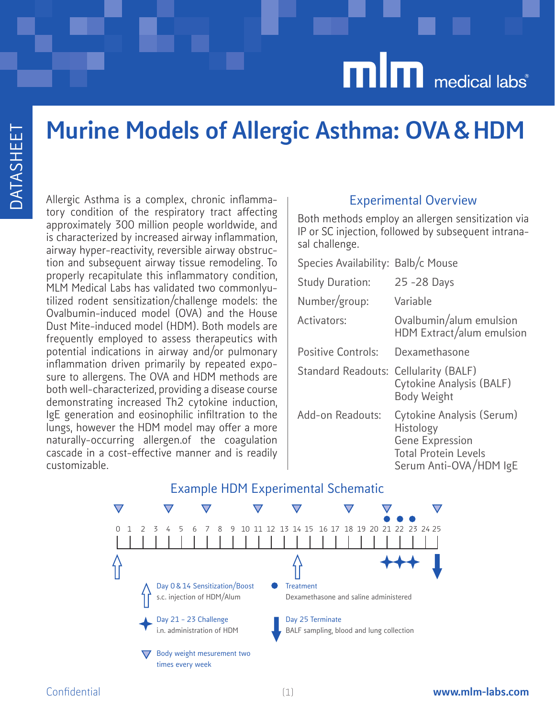# Murine Models of Allergic Asthma: OVA & HDM

Allergic Asthma is a complex, chronic inflammatory condition of the respiratory tract affecting approximately 300 million people worldwide, and is characterized by increased airway inflammation, airway hyper-reactivity, reversible airway obstruction and subsequent airway tissue remodeling. To properly recapitulate this inflammatory condition, MLM Medical Labs has validated two commonlyutilized rodent sensitization/challenge models: the Ovalbumin-induced model (OVA) and the House Dust Mite-induced model (HDM). Both models are frequently employed to assess therapeutics with potential indications in airway and/or pulmonary inflammation driven primarily by repeated exposure to allergens. The OVA and HDM methods are both well-characterized, providing a disease course demonstrating increased Th2 cytokine induction, IgE generation and eosinophilic infiltration to the lungs, however the HDM model may offer a more naturally-occurring allergen.of the coagulation cascade in a cost-effective manner and is readily customizable.

#### Experimental Overview

Both methods employ an allergen sensitization via IP or SC injection, followed by subsequent intranasal challenge.

| Species Availability: Balb/c Mouse |                                                                                                                           |
|------------------------------------|---------------------------------------------------------------------------------------------------------------------------|
| <b>Study Duration:</b>             | 25 - 28 Days                                                                                                              |
| Number/group:                      | Variable                                                                                                                  |
| Activators:                        | Ovalbumin/alum emulsion<br>HDM Extract/alum emulsion                                                                      |
| <b>Positive Controls:</b>          | Dexamethasone                                                                                                             |
| <b>Standard Readouts:</b>          | Cellularity (BALF)<br>Cytokine Analysis (BALF)<br><b>Body Weight</b>                                                      |
| Add-on Readouts:                   | Cytokine Analysis (Serum)<br>Histology<br><b>Gene Expression</b><br><b>Total Protein Levels</b><br>Serum Anti-OVA/HDM IgE |



### Example HDM Experimental Schematic

#### Confidential www.mlm-labs.com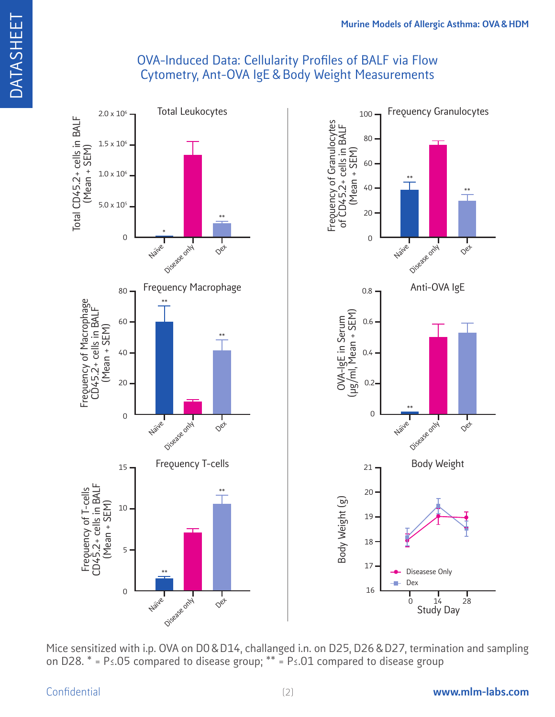### OVA-Induced Data: Cellularity Profiles of BALF via Flow Cytometry, Ant-OVA IgE & Body Weight Measurements



Mice sensitized with i.p. OVA on D0 & D14, challanged i.n. on D25, D26 & D27, termination and sampling on D28. \* = P≤.05 compared to disease group; \*\* = P≤.01 compared to disease group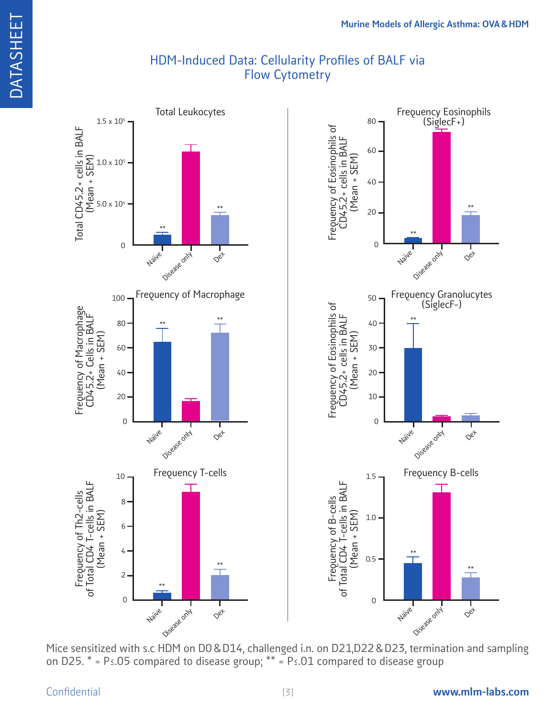### HDM-Induced Data: Cellularity Profiles of BALF via Flow Cytometry



Mice sensitized with s.c HDM on D0 & D14, challenged i.n. on D21,D22 & D23, termination and sampling on D25. \* = P≤.05 compared to disease group; \*\* = P≤.01 compared to disease group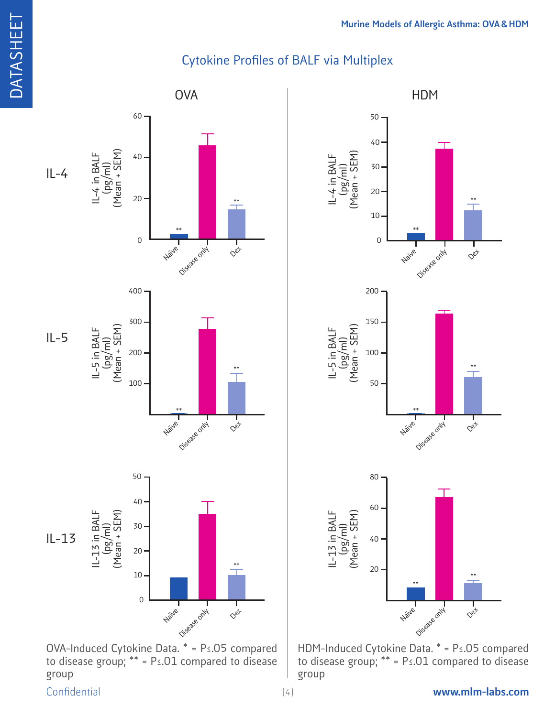# Cytokine Profiles of BALF via Multiplex



OVA-Induced Cytokine Data. \* = P≤.05 compared to disease group; \*\* = P≤.01 compared to disease group



HDM-Induced Cytokine Data. \* = P≤.05 compared to disease group; \*\* = P≤.01 compared to disease group